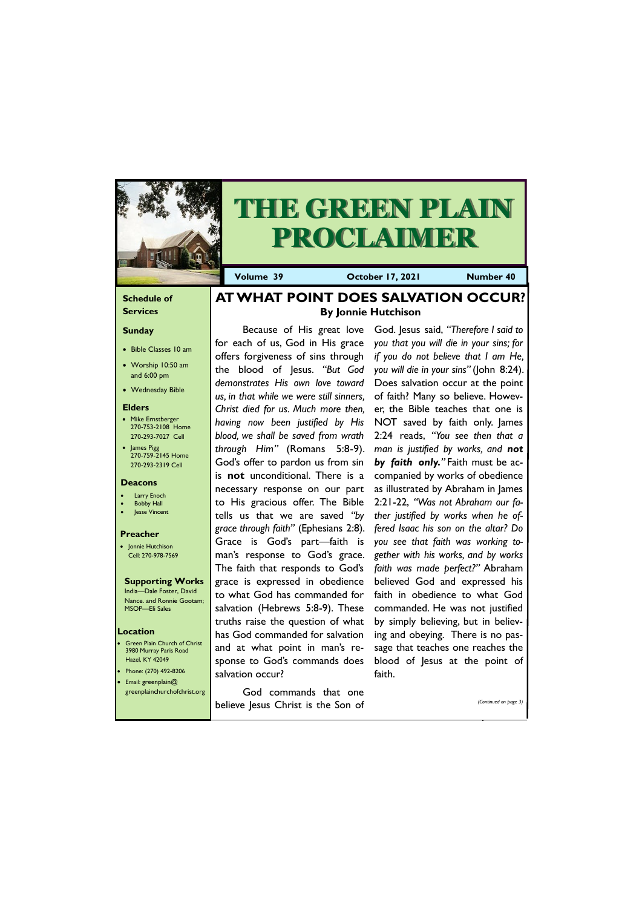### **Schedule of Services**

#### **Sunday**

- Bible Classes 10 am
- Worship 10:50 am and 6:00 pm
- Wednesday Bible

### **Elders**

- Mike Ernstberger 270-753-2108 Home 270-293-7027 Cell
- James Pigg 270-759-2145 Home 270-293-2319 Cell

**Green Plain Church of Christ** 3980 Murray Paris Road Hazel, KY 42049 • Phone: (270) 492-8206 • Email: greenplain@



# **THE GREEN PLAIN PROCLAIM**

**Volume 39 Corober 17, 2021 Number 40** 

### **Location**

#### **Deacons**

- **Larry Enoch**
- **Bobby Hall**
- Jesse Vincent

### **Preacher**

• Jonnie Hutchison Cell: 270-978-7569

#### **Supporting Works** India—Dale Foster, David

Nance. and Ronnie Gootam; MSOP—Eli Sales

### **AT WHAT POINT DOES SALVATION OCCUR? By Jonnie Hutchison**

for each of us, God in His grace offers forgiveness of sins through the blood of Jesus. *"But God demonstrates His own love toward us, in that while we were still sinners, Christ died for us. Much more then, having now been justified by His blood, we shall be saved from wrath through Him"* (Romans 5:8-9). God's offer to pardon us from sin is **not** unconditional. There is a necessary response on our part to His gracious offer. The Bible tells us that we are saved *"by grace through faith"* (Ephesians 2:8). Grace is God's part—faith is man's response to God's grace. The faith that responds to God's grace is expressed in obedience to what God has commanded for salvation (Hebrews 5:8-9). These truths raise the question of what has God commanded for salvation and at what point in man's response to God's commands does salvation occur?

| greenplainchurchofchrist.org | God commands that one              |                       |
|------------------------------|------------------------------------|-----------------------|
|                              | believe Jesus Christ is the Son of | (Continued on page 3) |

Because of His great love God. Jesus said, *"Therefore I said to you that you will die in your sins; for if you do not believe that I am He, you will die in your sins"* (John 8:24). Does salvation occur at the point of faith? Many so believe. However, the Bible teaches that one is NOT saved by faith only. James 2:24 reads, *"You see then that a man is justified by works, and not by faith only."* Faith must be accompanied by works of obedience as illustrated by Abraham in James 2:21-22, *"Was not Abraham our father justified by works when he offered Isaac his son on the altar? Do you see that faith was working together with his works, and by works faith was made perfect?"* Abraham believed God and expressed his faith in obedience to what God commanded. He was not justified by simply believing, but in believing and obeying. There is no passage that teaches one reaches the blood of Jesus at the point of faith.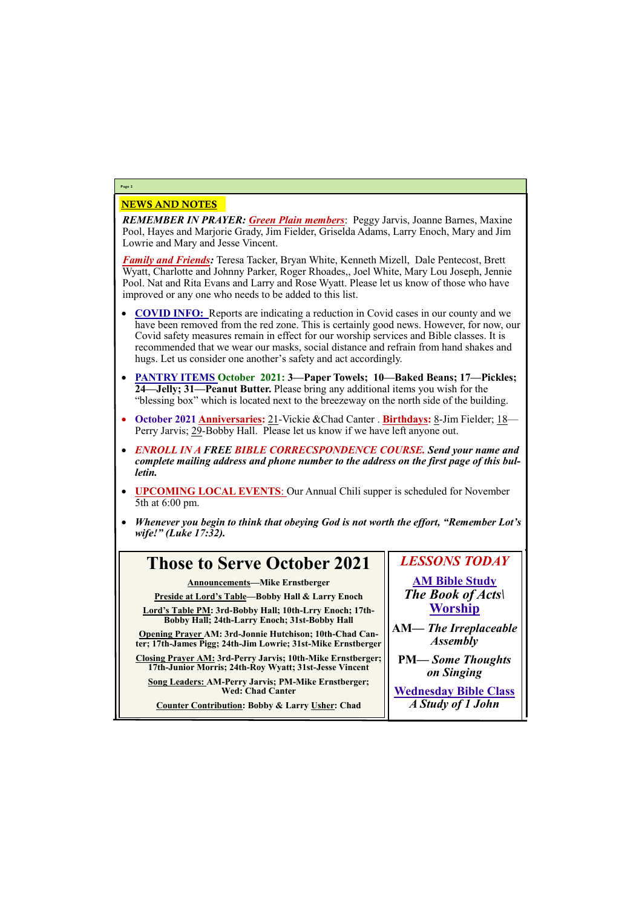### NEWS AND NOTES

*REMEMBER IN PRAYER: Green Plain members*: Peggy Jarvis, Joanne Barnes, Maxine Pool, Hayes and Marjorie Grady, Jim Fielder, Griselda Adams, Larry Enoch, Mary and Jim Lowrie and Mary and Jesse Vincent.

*Family and Friends:* Teresa Tacker, Bryan White, Kenneth Mizell, Dale Pentecost, Brett Wyatt, Charlotte and Johnny Parker, Roger Rhoades,, Joel White, Mary Lou Joseph, Jennie Pool. Nat and Rita Evans and Larry and Rose Wyatt. Please let us know of those who have improved or any one who needs to be added to this list.

- **COVID INFO:** Reports are indicating a reduction in Covid cases in our county and we have been removed from the red zone. This is certainly good news. However, for now, our Covid safety measures remain in effect for our worship services and Bible classes. It is recommended that we wear our masks, social distance and refrain from hand shakes and hugs. Let us consider one another's safety and act accordingly.
- **PANTRY ITEMS October 2021: 3—Paper Towels; 10—Baked Beans; 17—Pickles; 24—Jelly; 31—Peanut Butter.** Please bring any additional items you wish for the "blessing box" which is located next to the breezeway on the north side of the building.
- **October 2021 Anniversaries:** 21-Vickie &Chad Canter . **Birthdays:** 8-Jim Fielder; 18— Perry Jarvis; 29-Bobby Hall. Please let us know if we have left anyone out.
- *ENROLL IN A FREE BIBLE CORRECSPONDENCE COURSE. Send your name and complete mailing address and phone number to the address on the first page of this bulletin.*
- **UPCOMING LOCAL EVENTS**: Our Annual Chili supper is scheduled for November 5th at 6:00 pm.
- *Whenever you begin to think that obeying God is not worth the effort, "Remember Lot's wife!" (Luke 17:32).*

### **Page 2**

### **Those to Serve October 2021**

**Announcements—Mike Ernstberger**

**Preside at Lord's Table—Bobby Hall & Larry Enoch**

**Lord's Table PM: 3rd-Bobby Hall; 10th-Lrry Enoch; 17th-Bobby Hall; 24th-Larry Enoch; 31st-Bobby Hall**

**Opening Prayer AM: 3rd-Jonnie Hutchison; 10th-Chad Canter; 17th-James Pigg; 24th-Jim Lowrie; 31st-Mike Ernstberger**

**Closing Prayer AM: 3rd-Perry Jarvis; 10th-Mike Ernstberger; 17th-Junior Morris; 24th-Roy Wyatt; 31st-Jesse Vincent**

**Song Leaders: AM-Perry Jarvis; PM-Mike Ernstberger;** 

**Wed: Chad Canter**

**Counter Contribution: Bobby & Larry Usher: Chad**

## *LESSONS TODAY*

**AM Bible Study** *The Book of Acts\* **Worship**

**AM***— The Irreplaceable Assembly*

**PM—** *Some Thoughts on Singing*

**Wednesday Bible Class** *A Study of 1 John*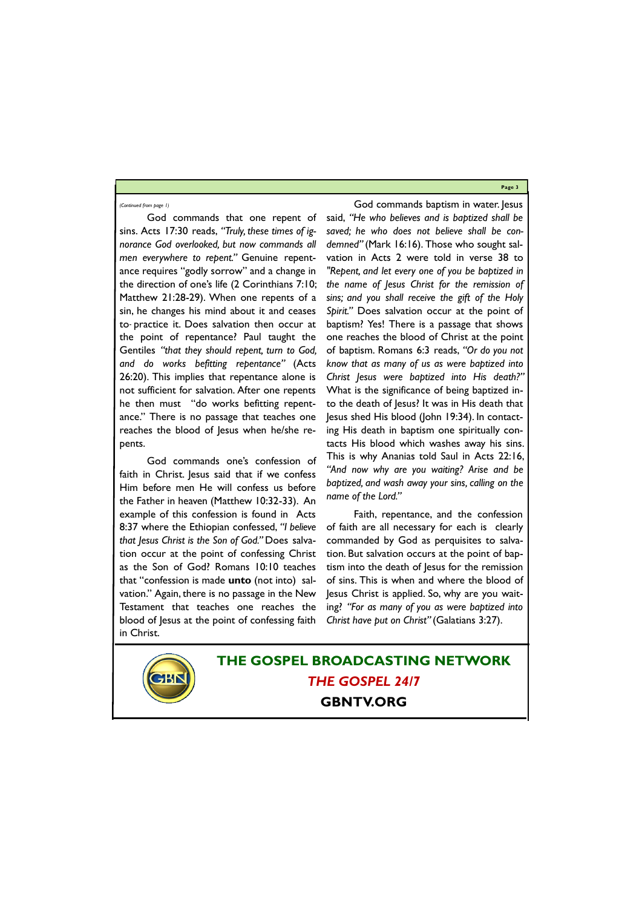**Page 3**

God commands that one repent of sins. Acts 17:30 reads, *"Truly, these times of ignorance God overlooked, but now commands all men everywhere to repent."* Genuine repentance requires "godly sorrow" and a change in the direction of one's life (2 Corinthians 7:10; Matthew 21:28-29). When one repents of a sin, he changes his mind about it and ceases to practice it. Does salvation then occur at the point of repentance? Paul taught the Gentiles *"that they should repent, turn to God, and do works befitting repentance"* (Acts 26:20). This implies that repentance alone is not sufficient for salvation. After one repents he then must "do works befitting repentance." There is no passage that teaches one reaches the blood of Jesus when he/she repents.

God commands one's confession of faith in Christ. Jesus said that if we confess Him before men He will confess us before the Father in heaven (Matthew 10:32-33). An example of this confession is found in Acts 8:37 where the Ethiopian confessed, *"I believe that Jesus Christ is the Son of God."* Does salvation occur at the point of confessing Christ as the Son of God? Romans 10:10 teaches that "confession is made **unto** (not into) salvation." Again, there is no passage in the New Testament that teaches one reaches the blood of Jesus at the point of confessing faith in Christ.

God commands baptism in water. Jesus said, *"He who believes and is baptized shall be saved; he who does not believe shall be condemned"* (Mark 16:16). Those who sought salvation in Acts 2 were told in verse 38 to *"Repent, and let every one of you be baptized in the name of Jesus Christ for the remission of sins; and you shall receive the gift of the Holy Spirit."* Does salvation occur at the point of baptism? Yes! There is a passage that shows one reaches the blood of Christ at the point of baptism. Romans 6:3 reads, *"Or do you not know that as many of us as were baptized into Christ Jesus were baptized into His death?"*  What is the significance of being baptized into the death of Jesus? It was in His death that Jesus shed His blood (John 19:34). In contacting His death in baptism one spiritually contacts His blood which washes away his sins. This is why Ananias told Saul in Acts 22:16, *"And now why are you waiting? Arise and be baptized, and wash away your sins, calling on the name of the Lord."*

Faith, repentance, and the confession of faith are all necessary for each is clearly commanded by God as perquisites to salvation. But salvation occurs at the point of baptism into the death of Jesus for the remission of sins. This is when and where the blood of Jesus Christ is applied. So, why are you waiting? *"For as many of you as were baptized into Christ have put on Christ"* (Galatians 3:27).



### *(Continued from page 1)*

**THE GOSPEL BROADCASTING NETWORK** *THE GOSPEL 24/7*

### **GBNTV.ORG**